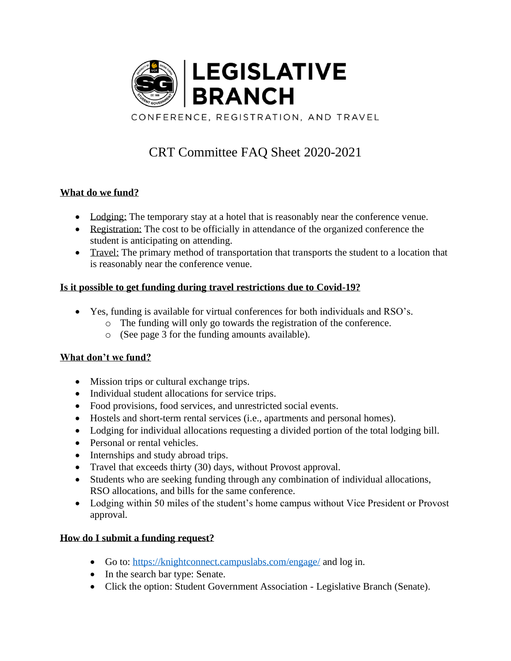

# CRT Committee FAQ Sheet 2020-2021

# **What do we fund?**

- Lodging: The temporary stay at a hotel that is reasonably near the conference venue.
- Registration: The cost to be officially in attendance of the organized conference the student is anticipating on attending.
- Travel: The primary method of transportation that transports the student to a location that is reasonably near the conference venue.

# **Is it possible to get funding during travel restrictions due to Covid-19?**

- Yes, funding is available for virtual conferences for both individuals and RSO's.
	- o The funding will only go towards the registration of the conference.
	- o (See page 3 for the funding amounts available).

## **What don't we fund?**

- Mission trips or cultural exchange trips.
- Individual student allocations for service trips.
- Food provisions, food services, and unrestricted social events.
- Hostels and short-term rental services (i.e., apartments and personal homes).
- Lodging for individual allocations requesting a divided portion of the total lodging bill.
- Personal or rental vehicles.
- Internships and study abroad trips.
- Travel that exceeds thirty (30) days, without Provost approval.
- Students who are seeking funding through any combination of individual allocations, RSO allocations, and bills for the same conference.
- Lodging within 50 miles of the student's home campus without Vice President or Provost approval.

## **How do I submit a funding request?**

- Go to:<https://knightconnect.campuslabs.com/engage/> and log in.
- In the search bar type: Senate.
- Click the option: Student Government Association Legislative Branch (Senate).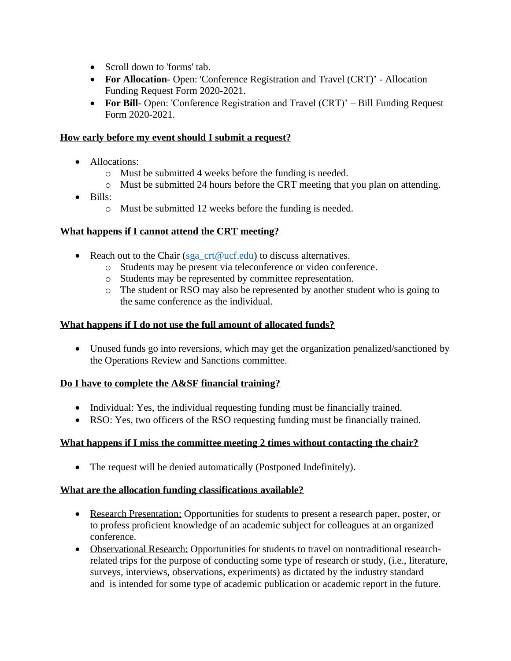- Scroll down to 'forms' tab.
- **For Allocation** Open: 'Conference Registration and Travel (CRT)' Allocation Funding Request Form 2020-2021.
- **For Bill-** Open: 'Conference Registration and Travel (CRT)' Bill Funding Request Form 2020-2021.

### **How early before my event should I submit a request?**

- Allocations:
	- o Must be submitted 4 weeks before the funding is needed.
	- o Must be submitted 24 hours before the CRT meeting that you plan on attending.
- Bills:
	- o Must be submitted 12 weeks before the funding is needed.

#### **What happens if I cannot attend the CRT meeting?**

- Reach out to the Chair [\(sga\\_crt@ucf.edu\)](mailto:sga_crt@ucf.edu) to discuss alternatives.
	- o Students may be present via teleconference or video conference.
	- o Students may be represented by committee representation.
	- o The student or RSO may also be represented by another student who is going to the same conference as the individual.

#### **What happens if I do not use the full amount of allocated funds?**

• Unused funds go into reversions, which may get the organization penalized/sanctioned by the Operations Review and Sanctions committee.

#### **Do I have to complete the A&SF financial training?**

- Individual: Yes, the individual requesting funding must be financially trained.
- RSO: Yes, two officers of the RSO requesting funding must be financially trained.

#### **What happens if I miss the committee meeting 2 times without contacting the chair?**

• The request will be denied automatically (Postponed Indefinitely).

#### **What are the allocation funding classifications available?**

- Research Presentation: Opportunities for students to present a research paper, poster, or to profess proficient knowledge of an academic subject for colleagues at an organized conference.
- Observational Research: Opportunities for students to travel on nontraditional researchrelated trips for the purpose of conducting some type of research or study, (i.e., literature, surveys, interviews, observations, experiments) as dictated by the industry standard and is intended for some type of academic publication or academic report in the future.